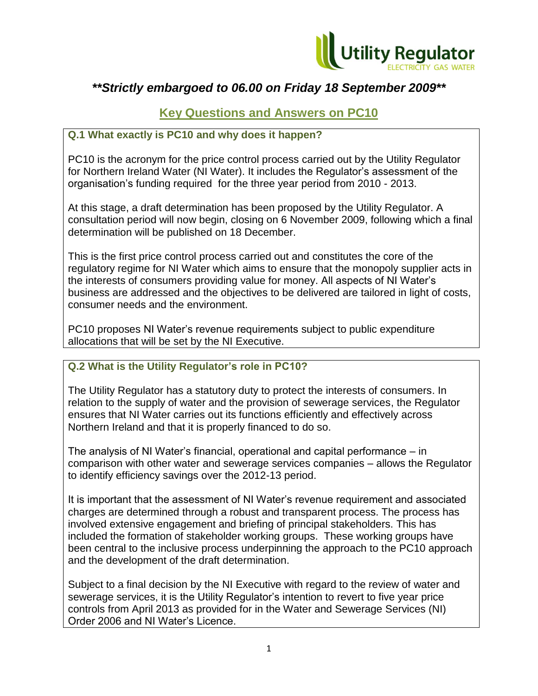

# *\*\*Strictly embargoed to 06.00 on Friday 18 September 2009\*\**

# **Key Questions and Answers on PC10**

## **Q.1 What exactly is PC10 and why does it happen?**

PC10 is the acronym for the price control process carried out by the Utility Regulator for Northern Ireland Water (NI Water). It includes the Regulator's assessment of the organisation's funding required for the three year period from 2010 - 2013.

At this stage, a draft determination has been proposed by the Utility Regulator. A consultation period will now begin, closing on 6 November 2009, following which a final determination will be published on 18 December.

This is the first price control process carried out and constitutes the core of the regulatory regime for NI Water which aims to ensure that the monopoly supplier acts in the interests of consumers providing value for money. All aspects of NI Water's business are addressed and the objectives to be delivered are tailored in light of costs, consumer needs and the environment.

PC10 proposes NI Water's revenue requirements subject to public expenditure allocations that will be set by the NI Executive.

## **Q.2 What is the Utility Regulator's role in PC10?**

The Utility Regulator has a statutory duty to protect the interests of consumers. In relation to the supply of water and the provision of sewerage services, the Regulator ensures that NI Water carries out its functions efficiently and effectively across Northern Ireland and that it is properly financed to do so.

The analysis of NI Water's financial, operational and capital performance – in comparison with other water and sewerage services companies – allows the Regulator to identify efficiency savings over the 2012-13 period.

It is important that the assessment of NI Water's revenue requirement and associated charges are determined through a robust and transparent process. The process has involved extensive engagement and briefing of principal stakeholders. This has included the formation of stakeholder working groups. These working groups have been central to the inclusive process underpinning the approach to the PC10 approach and the development of the draft determination.

Subject to a final decision by the NI Executive with regard to the review of water and sewerage services, it is the Utility Regulator's intention to revert to five year price controls from April 2013 as provided for in the Water and Sewerage Services (NI) Order 2006 and NI Water's Licence.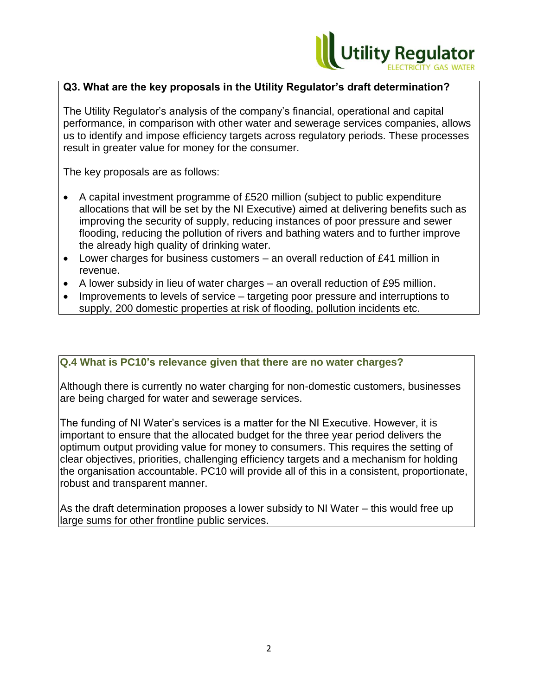

#### **Q3. What are the key proposals in the Utility Regulator's draft determination?**

The Utility Regulator's analysis of the company's financial, operational and capital performance, in comparison with other water and sewerage services companies, allows us to identify and impose efficiency targets across regulatory periods. These processes result in greater value for money for the consumer.

The key proposals are as follows:

- A capital investment programme of £520 million (subject to public expenditure allocations that will be set by the NI Executive) aimed at delivering benefits such as improving the security of supply, reducing instances of poor pressure and sewer flooding, reducing the pollution of rivers and bathing waters and to further improve the already high quality of drinking water.
- Lower charges for business customers an overall reduction of £41 million in revenue.
- A lower subsidy in lieu of water charges  $-$  an overall reduction of £95 million.
- Improvements to levels of service targeting poor pressure and interruptions to supply, 200 domestic properties at risk of flooding, pollution incidents etc.

#### **Q.4 What is PC10's relevance given that there are no water charges?**

Although there is currently no water charging for non-domestic customers, businesses are being charged for water and sewerage services.

The funding of NI Water's services is a matter for the NI Executive. However, it is important to ensure that the allocated budget for the three year period delivers the optimum output providing value for money to consumers. This requires the setting of clear objectives, priorities, challenging efficiency targets and a mechanism for holding the organisation accountable. PC10 will provide all of this in a consistent, proportionate, robust and transparent manner.

As the draft determination proposes a lower subsidy to NI Water – this would free up large sums for other frontline public services.